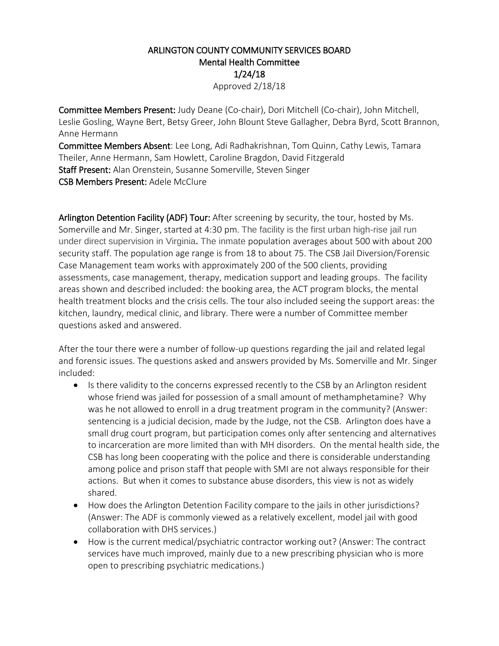## ARLINGTON COUNTY COMMUNITY SERVICES BOARD Mental Health Committee 1/24/18 Approved 2/18/18

Committee Members Present: Judy Deane (Co-chair), Dori Mitchell (Co-chair), John Mitchell, Leslie Gosling, Wayne Bert, Betsy Greer, John Blount Steve Gallagher, Debra Byrd, Scott Brannon, Anne Hermann

Committee Members Absent: Lee Long, Adi Radhakrishnan, Tom Quinn, Cathy Lewis, Tamara Theiler, Anne Hermann, Sam Howlett, Caroline Bragdon, David Fitzgerald Staff Present: Alan Orenstein, Susanne Somerville, Steven Singer CSB Members Present: Adele McClure

Arlington Detention Facility (ADF) Tour: After screening by security, the tour, hosted by Ms. Somerville and Mr. Singer, started at 4:30 pm. The facility is the first urban high-rise jail run under direct supervision in Virginia**.** The inmate population averages about 500 with about 200 security staff. The population age range is from 18 to about 75. The CSB Jail Diversion/Forensic Case Management team works with approximately 200 of the 500 clients, providing assessments, case management, therapy, medication support and leading groups. The facility areas shown and described included: the booking area, the ACT program blocks, the mental health treatment blocks and the crisis cells. The tour also included seeing the support areas: the kitchen, laundry, medical clinic, and library. There were a number of Committee member questions asked and answered.

After the tour there were a number of follow-up questions regarding the jail and related legal and forensic issues. The questions asked and answers provided by Ms. Somerville and Mr. Singer included:

- Is there validity to the concerns expressed recently to the CSB by an Arlington resident whose friend was jailed for possession of a small amount of methamphetamine? Why was he not allowed to enroll in a drug treatment program in the community? (Answer: sentencing is a judicial decision, made by the Judge, not the CSB. Arlington does have a small drug court program, but participation comes only after sentencing and alternatives to incarceration are more limited than with MH disorders. On the mental health side, the CSB has long been cooperating with the police and there is considerable understanding among police and prison staff that people with SMI are not always responsible for their actions. But when it comes to substance abuse disorders, this view is not as widely shared.
- How does the Arlington Detention Facility compare to the jails in other jurisdictions? (Answer: The ADF is commonly viewed as a relatively excellent, model jail with good collaboration with DHS services.)
- How is the current medical/psychiatric contractor working out? (Answer: The contract services have much improved, mainly due to a new prescribing physician who is more open to prescribing psychiatric medications.)